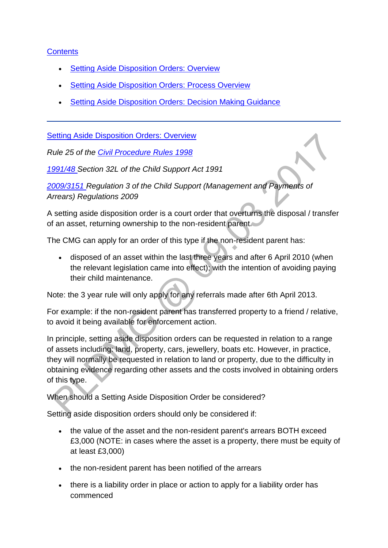## **[Contents](http://np-cmg-sharepoint.link2.gpn.gov.uk/sites/policy-law-and-decision-making-guidance/Pages/Legal%20Enforcement%20-%20England%20and%20Wales/Setting-Aside-of-Disposition-Order.aspx#con)**

- [Setting Aside Disposition Orders: Overview](http://np-cmg-sharepoint.link2.gpn.gov.uk/sites/policy-law-and-decision-making-guidance/Pages/Legal%20Enforcement%20-%20England%20and%20Wales/Setting-Aside-of-Disposition-Order.aspx#Setting%20Aside%20Disposition%20Orders%3a%20Overview)
- [Setting Aside Disposition Orders: Process Overview](http://np-cmg-sharepoint.link2.gpn.gov.uk/sites/policy-law-and-decision-making-guidance/Pages/Legal%20Enforcement%20-%20England%20and%20Wales/Setting-Aside-of-Disposition-Order.aspx#2)
- [Setting Aside Disposition Orders: Decision Making Guidance](http://np-cmg-sharepoint.link2.gpn.gov.uk/sites/policy-law-and-decision-making-guidance/Pages/Legal%20Enforcement%20-%20England%20and%20Wales/Setting-Aside-of-Disposition-Order.aspx#%20Setting%20Aside%20Disposition%20Orders%3a%20Decision%20Making%20Guidance)

[Setting Aside Disposition Orders: Overview](http://np-cmg-sharepoint.link2.gpn.gov.uk/sites/policy-law-and-decision-making-guidance/Pages/Legal%20Enforcement%20-%20England%20and%20Wales/Setting-Aside-of-Disposition-Order.aspx?ControlMode=Edit&DisplayMode=Design)

*Rule 25 of the [Civil Procedure Rules 1998](https://www.justice.gov.uk/courts/procedure-rules/civil/rules)* 

*[1991/48 S](http://www.legislation.gov.uk/ukpga/1991/48)ection 32L of the Child Support Act 1991*

*[2009/3151 R](http://www.legislation.gov.uk/uksi/2009/3151/contents)egulation 3 of the Child Support (Management and Payments of Arrears) Regulations 2009*

A setting aside disposition order is a court order that overturns the disposal / transfer of an asset, returning ownership to the non-resident parent.

The CMG can apply for an order of this type if the non-resident parent has:

 disposed of an asset within the last three years and after 6 April 2010 (when the relevant legislation came into effect); with the intention of avoiding paying their child maintenance.

Note: the 3 year rule will only apply for any referrals made after 6th April 2013.

For example: if the non-resident parent has transferred property to a friend / relative, to avoid it being available for enforcement action.

In principle, setting aside disposition orders can be requested in relation to a range of assets including: land, property, cars, jewellery, boats etc. However, in practice, they will normally be requested in relation to land or property, due to the difficulty in obtaining evidence regarding other assets and the costs involved in obtaining orders of this type.

When should a Setting Aside Disposition Order be considered?

Setting aside disposition orders should only be considered if:

- the value of the asset and the non-resident parent's arrears BOTH exceed £3,000 (NOTE: in cases where the asset is a property, there must be equity of at least £3,000)
- the non-resident parent has been notified of the arrears
- there is a liability order in place or action to apply for a liability order has commenced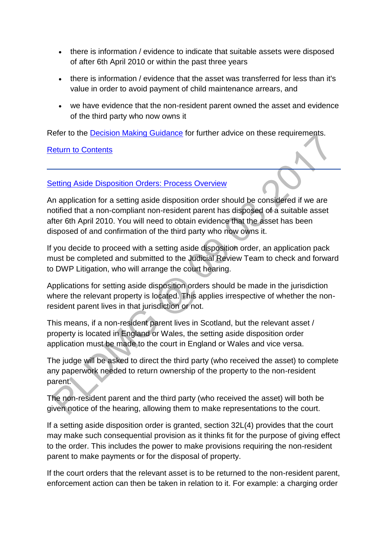- there is information / evidence to indicate that suitable assets were disposed of after 6th April 2010 or within the past three years
- there is information / evidence that the asset was transferred for less than it's value in order to avoid payment of child maintenance arrears, and
- we have evidence that the non-resident parent owned the asset and evidence of the third party who now owns it

Refer to the [Decision Making Guidance](http://np-cmg-sharepoint.link2.gpn.gov.uk/sites/policy-law-and-decision-making-guidance/Pages/Legal%20Enforcement%20-%20England%20and%20Wales/Setting-Aside-of-Disposition-Order.aspx#%20Setting%20Aside%20Disposition%20Orders%3a%20Decision%20Making%20Guidance) for further advice on these requirements.

#### [Return to Contents](http://np-cmg-sharepoint.link2.gpn.gov.uk/sites/policy-law-and-decision-making-guidance/Pages/Legal%20Enforcement%20-%20England%20and%20Wales/Setting-Aside-of-Disposition-Order.aspx)

#### [Setting Aside Disposition Orders: Process Overview](http://np-cmg-sharepoint.link2.gpn.gov.uk/sites/policy-law-and-decision-making-guidance/Pages/Legal%20Enforcement%20-%20England%20and%20Wales/Setting-Aside-of-Disposition-Order.aspx)

An application for a setting aside disposition order should be considered if we are notified that a non-compliant non-resident parent has disposed of a suitable asset after 6th April 2010. You will need to obtain evidence that the asset has been disposed of and confirmation of the third party who now owns it.

If you decide to proceed with a setting aside disposition order, an application pack must be completed and submitted to the Judicial Review Team to check and forward to DWP Litigation, who will arrange the court hearing.

Applications for setting aside disposition orders should be made in the jurisdiction where the relevant property is located. This applies irrespective of whether the nonresident parent lives in that jurisdiction or not.

This means, if a non-resident parent lives in Scotland, but the relevant asset / property is located in England or Wales, the setting aside disposition order application must be made to the court in England or Wales and vice versa.

The judge will be asked to direct the third party (who received the asset) to complete any paperwork needed to return ownership of the property to the non-resident parent.

The non-resident parent and the third party (who received the asset) will both be given notice of the hearing, allowing them to make representations to the court.

If a setting aside disposition order is granted, section 32L(4) provides that the court may make such consequential provision as it thinks fit for the purpose of giving effect to the order. This includes the power to make provisions requiring the non-resident parent to make payments or for the disposal of property.

If the court orders that the relevant asset is to be returned to the non-resident parent, enforcement action can then be taken in relation to it. For example: a charging order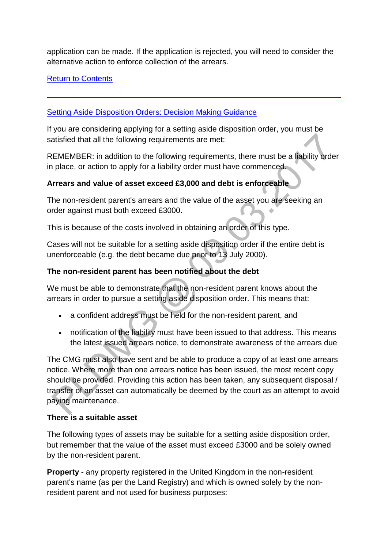application can be made. If the application is rejected, you will need to consider the alternative action to enforce collection of the arrears.

[Return to Contents](http://np-cmg-sharepoint.link2.gpn.gov.uk/sites/policy-law-and-decision-making-guidance/Pages/Legal%20Enforcement%20-%20England%20and%20Wales/Setting-Aside-of-Disposition-Order.aspx#con)

[Setting Aside Disposition Orders: Decision Making Guidance](http://np-cmg-sharepoint.link2.gpn.gov.uk/sites/policy-law-and-decision-making-guidance/Pages/Legal%20Enforcement%20-%20England%20and%20Wales/Setting-Aside-of-Disposition-Order.aspx?ControlMode=Edit&DisplayMode=Design)

If you are considering applying for a setting aside disposition order, you must be satisfied that all the following requirements are met:

REMEMBER: in addition to the following requirements, there must be a liability order in place, or action to apply for a liability order must have commenced.

# **Arrears and value of asset exceed £3,000 and debt is enforceable**

The non-resident parent's arrears and the value of the asset you are seeking an order against must both exceed £3000.

This is because of the costs involved in obtaining an order of this type.

Cases will not be suitable for a setting aside disposition order if the entire debt is unenforceable (e.g. the debt became due prior to 13 July 2000).

# **The non-resident parent has been notified about the debt**

We must be able to demonstrate that the non-resident parent knows about the arrears in order to pursue a setting aside disposition order. This means that:

- a confident address must be held for the non-resident parent, and
- notification of the liability must have been issued to that address. This means the latest issued arrears notice, to demonstrate awareness of the arrears due

The CMG must also have sent and be able to produce a copy of at least one arrears notice. Where more than one arrears notice has been issued, the most recent copy should be provided. Providing this action has been taken, any subsequent disposal / transfer of an asset can automatically be deemed by the court as an attempt to avoid paying maintenance.

# **There is a suitable asset**

The following types of assets may be suitable for a setting aside disposition order, but remember that the value of the asset must exceed £3000 and be solely owned by the non-resident parent.

**Property** - any property registered in the United Kingdom in the non-resident parent's name (as per the Land Registry) and which is owned solely by the nonresident parent and not used for business purposes: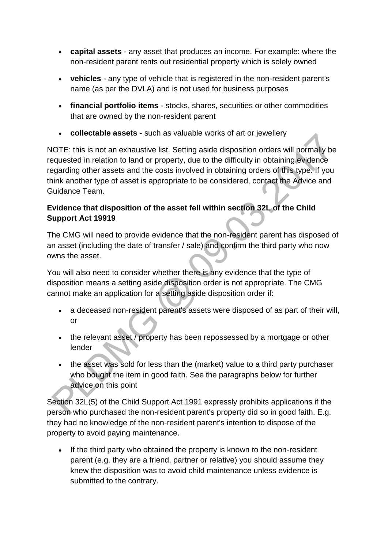- **capital assets**  any asset that produces an income. For example: where the non-resident parent rents out residential property which is solely owned
- **vehicles** any type of vehicle that is registered in the non-resident parent's name (as per the DVLA) and is not used for business purposes
- **financial portfolio items** stocks, shares, securities or other commodities that are owned by the non-resident parent
- **collectable assets**  such as valuable works of art or jewellery

NOTE: this is not an exhaustive list. Setting aside disposition orders will normally be requested in relation to land or property, due to the difficulty in obtaining evidence regarding other assets and the costs involved in obtaining orders of this type. If you think another type of asset is appropriate to be considered, contact the Advice and Guidance Team.

## **Evidence that disposition of the asset fell within section 32L of the Child Support Act 19919**

The CMG will need to provide evidence that the non-resident parent has disposed of an asset (including the date of transfer / sale) and confirm the third party who now owns the asset.

You will also need to consider whether there is any evidence that the type of disposition means a setting aside disposition order is not appropriate. The CMG cannot make an application for a setting aside disposition order if:

- a deceased non-resident parent's assets were disposed of as part of their will, or
- the relevant asset / property has been repossessed by a mortgage or other lender
- the asset was sold for less than the (market) value to a third party purchaser who bought the item in good faith. See the paragraphs below for further advice on this point

Section 32L(5) of the Child Support Act 1991 expressly prohibits applications if the person who purchased the non-resident parent's property did so in good faith. E.g. they had no knowledge of the non-resident parent's intention to dispose of the property to avoid paying maintenance.

• If the third party who obtained the property is known to the non-resident parent (e.g. they are a friend, partner or relative) you should assume they knew the disposition was to avoid child maintenance unless evidence is submitted to the contrary.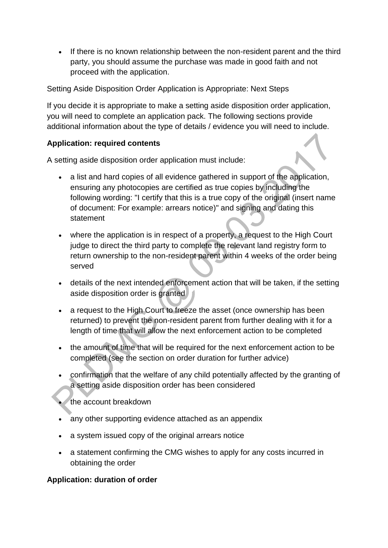If there is no known relationship between the non-resident parent and the third party, you should assume the purchase was made in good faith and not proceed with the application.

Setting Aside Disposition Order Application is Appropriate: Next Steps

If you decide it is appropriate to make a setting aside disposition order application, you will need to complete an application pack. The following sections provide additional information about the type of details / evidence you will need to include.

## **Application: required contents**

A setting aside disposition order application must include:

- a list and hard copies of all evidence gathered in support of the application, ensuring any photocopies are certified as true copies by including the following wording: "I certify that this is a true copy of the original (insert name of document: For example: arrears notice)" and signing and dating this statement
- where the application is in respect of a property, a request to the High Court judge to direct the third party to complete the relevant land registry form to return ownership to the non-resident parent within 4 weeks of the order being served
- details of the next intended enforcement action that will be taken, if the setting aside disposition order is granted
- a request to the High Court to freeze the asset (once ownership has been returned) to prevent the non-resident parent from further dealing with it for a length of time that will allow the next enforcement action to be completed
- the amount of time that will be required for the next enforcement action to be completed (see the section on order duration for further advice)
- confirmation that the welfare of any child potentially affected by the granting of a setting aside disposition order has been considered
- the account breakdown
- any other supporting evidence attached as an appendix
- a system issued copy of the original arrears notice
- a statement confirming the CMG wishes to apply for any costs incurred in obtaining the order

### **Application: duration of order**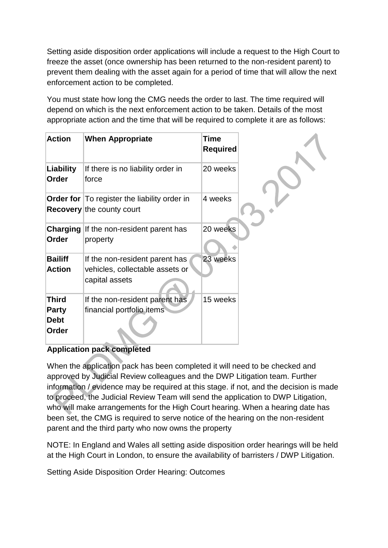Setting aside disposition order applications will include a request to the High Court to freeze the asset (once ownership has been returned to the non-resident parent) to prevent them dealing with the asset again for a period of time that will allow the next enforcement action to be completed.

You must state how long the CMG needs the order to last. The time required will depend on which is the next enforcement action to be taken. Details of the most appropriate action and the time that will be required to complete it are as follows:

| <b>Action</b>                                        | <b>When Appropriate</b>                                                             | <b>Time</b><br><b>Required</b> |  |
|------------------------------------------------------|-------------------------------------------------------------------------------------|--------------------------------|--|
| Liability<br>Order                                   | If there is no liability order in<br>force                                          | 20 weeks                       |  |
|                                                      | Order for   To register the liability order in<br><b>Recovery</b> the county court  | 4 weeks                        |  |
| <b>Charging</b><br>Order                             | If the non-resident parent has<br>property                                          | 20 weeks                       |  |
| <b>Bailiff</b><br><b>Action</b>                      | If the non-resident parent has<br>vehicles, collectable assets or<br>capital assets | 23 weeks                       |  |
| <b>Third</b><br><b>Party</b><br><b>Debt</b><br>Order | If the non-resident parent has<br>financial portfolio items                         | 15 weeks                       |  |

### **Application pack completed**

When the application pack has been completed it will need to be checked and approved by Judicial Review colleagues and the DWP Litigation team. Further information / evidence may be required at this stage. if not, and the decision is made to proceed, the Judicial Review Team will send the application to DWP Litigation, who will make arrangements for the High Court hearing. When a hearing date has been set, the CMG is required to serve notice of the hearing on the non-resident parent and the third party who now owns the property

NOTE: In England and Wales all setting aside disposition order hearings will be held at the High Court in London, to ensure the availability of barristers / DWP Litigation.

Setting Aside Disposition Order Hearing: Outcomes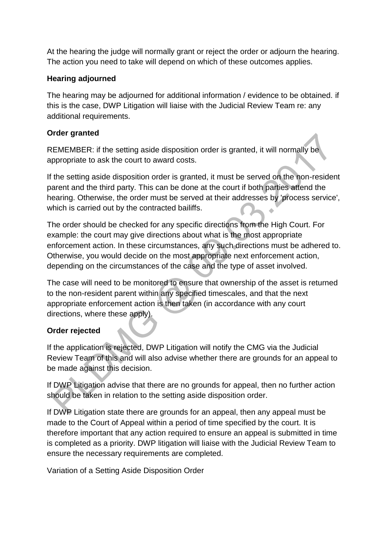At the hearing the judge will normally grant or reject the order or adjourn the hearing. The action you need to take will depend on which of these outcomes applies.

## **Hearing adjourned**

The hearing may be adjourned for additional information / evidence to be obtained. if this is the case, DWP Litigation will liaise with the Judicial Review Team re: any additional requirements.

# **Order granted**

REMEMBER: if the setting aside disposition order is granted, it will normally be appropriate to ask the court to award costs.

If the setting aside disposition order is granted, it must be served on the non-resident parent and the third party. This can be done at the court if both parties attend the hearing. Otherwise, the order must be served at their addresses by 'process service', which is carried out by the contracted bailiffs.  $\ddot{\phantom{a}}$ 

The order should be checked for any specific directions from the High Court. For example: the court may give directions about what is the most appropriate enforcement action. In these circumstances, any such directions must be adhered to. Otherwise, you would decide on the most appropriate next enforcement action, depending on the circumstances of the case and the type of asset involved.

The case will need to be monitored to ensure that ownership of the asset is returned to the non-resident parent within any specified timescales, and that the next appropriate enforcement action is then taken (in accordance with any court directions, where these apply).

# **Order rejected**

If the application is rejected, DWP Litigation will notify the CMG via the Judicial Review Team of this and will also advise whether there are grounds for an appeal to be made against this decision.

If DWP Litigation advise that there are no grounds for appeal, then no further action should be taken in relation to the setting aside disposition order.

If DWP Litigation state there are grounds for an appeal, then any appeal must be made to the Court of Appeal within a period of time specified by the court. It is therefore important that any action required to ensure an appeal is submitted in time is completed as a priority. DWP litigation will liaise with the Judicial Review Team to ensure the necessary requirements are completed.

Variation of a Setting Aside Disposition Order